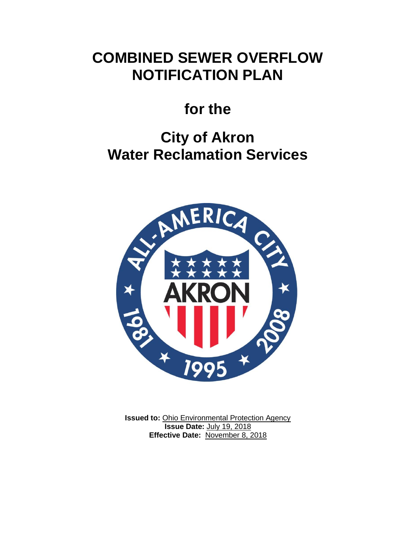# **COMBINED SEWER OVERFLOW NOTIFICATION PLAN**

# **for the**

# **City of Akron Water Reclamation Services**



**Issued to: Ohio Environmental Protection Agency Issue Date:** July 19, 2018 **Effective Date:** November 8, 2018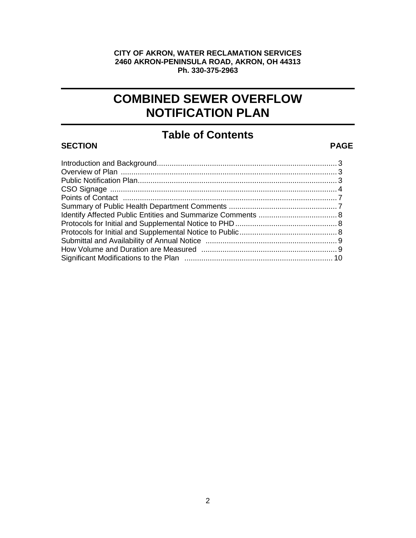#### **CITY OF AKRON, WATER RECLAMATION SERVICES 2460 AKRON-PENINSULA ROAD, AKRON, OH 44313 Ph. 330-375-2963**

# **COMBINED SEWER OVERFLOW NOTIFICATION PLAN**

# **Table of Contents**

#### **SECTION PAGE**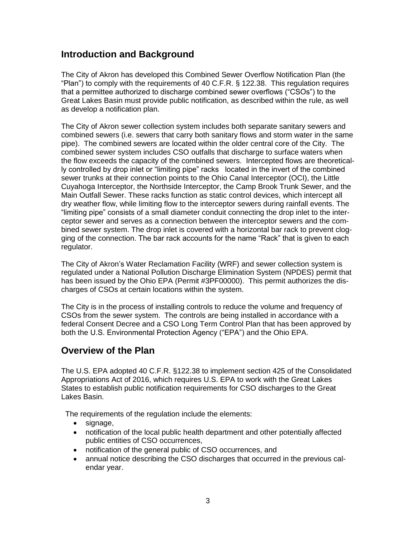#### **Introduction and Background**

The City of Akron has developed this Combined Sewer Overflow Notification Plan (the "Plan") to comply with the requirements of 40 C.F.R. § 122.38. This regulation requires that a permittee authorized to discharge combined sewer overflows ("CSOs") to the Great Lakes Basin must provide public notification, as described within the rule, as well as develop a notification plan.

The City of Akron sewer collection system includes both separate sanitary sewers and combined sewers (i.e. sewers that carry both sanitary flows and storm water in the same pipe). The combined sewers are located within the older central core of the City. The combined sewer system includes CSO outfalls that discharge to surface waters when the flow exceeds the capacity of the combined sewers. Intercepted flows are theoretically controlled by drop inlet or "limiting pipe" racks located in the invert of the combined sewer trunks at their connection points to the Ohio Canal Interceptor (OCI), the Little Cuyahoga Interceptor, the Northside Interceptor, the Camp Brook Trunk Sewer, and the Main Outfall Sewer. These racks function as static control devices, which intercept all dry weather flow, while limiting flow to the interceptor sewers during rainfall events. The "limiting pipe" consists of a small diameter conduit connecting the drop inlet to the interceptor sewer and serves as a connection between the interceptor sewers and the combined sewer system. The drop inlet is covered with a horizontal bar rack to prevent clogging of the connection. The bar rack accounts for the name "Rack" that is given to each regulator.

The City of Akron's Water Reclamation Facility (WRF) and sewer collection system is regulated under a National Pollution Discharge Elimination System (NPDES) permit that has been issued by the Ohio EPA (Permit #3PF00000). This permit authorizes the discharges of CSOs at certain locations within the system.

The City is in the process of installing controls to reduce the volume and frequency of CSOs from the sewer system. The controls are being installed in accordance with a federal Consent Decree and a CSO Long Term Control Plan that has been approved by both the U.S. Environmental Protection Agency ("EPA") and the Ohio EPA.

## **Overview of the Plan**

The U.S. EPA adopted 40 C.F.R. §122.38 to implement section 425 of the Consolidated Appropriations Act of 2016, which requires U.S. EPA to work with the Great Lakes States to establish public notification requirements for CSO discharges to the Great Lakes Basin.

The requirements of the regulation include the elements:

- signage,
- notification of the local public health department and other potentially affected public entities of CSO occurrences,
- notification of the general public of CSO occurrences, and
- annual notice describing the CSO discharges that occurred in the previous calendar year.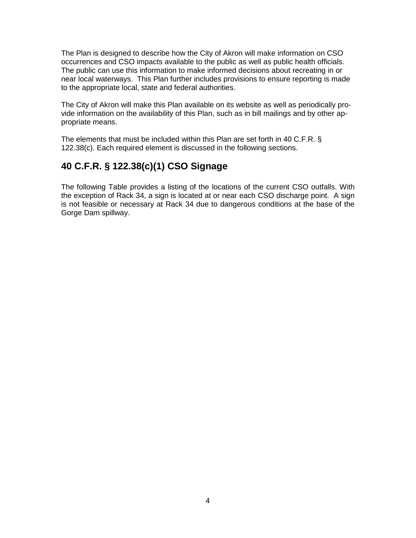The Plan is designed to describe how the City of Akron will make information on CSO occurrences and CSO impacts available to the public as well as public health officials. The public can use this information to make informed decisions about recreating in or near local waterways. This Plan further includes provisions to ensure reporting is made to the appropriate local, state and federal authorities.

The City of Akron will make this Plan available on its website as well as periodically provide information on the availability of this Plan, such as in bill mailings and by other appropriate means.

The elements that must be included within this Plan are set forth in 40 C.F.R. § 122.38(c). Each required element is discussed in the following sections.

# **40 C.F.R. § 122.38(c)(1) CSO Signage**

The following Table provides a listing of the locations of the current CSO outfalls. With the exception of Rack 34, a sign is located at or near each CSO discharge point. A sign is not feasible or necessary at Rack 34 due to dangerous conditions at the base of the Gorge Dam spillway.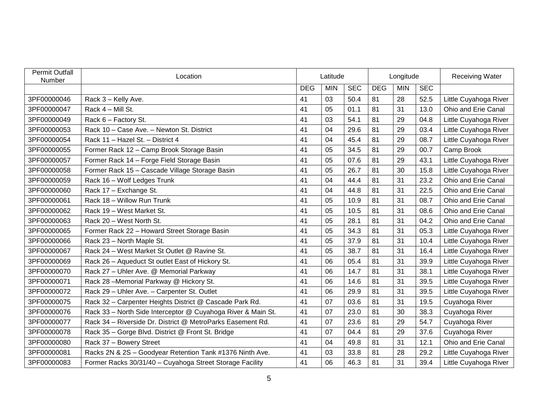| <b>Permit Outfall</b><br>Number | Location                                                     | Latitude   |            |            | Longitude  |            |            | <b>Receiving Water</b> |
|---------------------------------|--------------------------------------------------------------|------------|------------|------------|------------|------------|------------|------------------------|
|                                 |                                                              | <b>DEG</b> | <b>MIN</b> | <b>SEC</b> | <b>DEG</b> | <b>MIN</b> | <b>SEC</b> |                        |
| 3PF00000046                     | Rack 3 - Kelly Ave.                                          | 41         | 03         | 50.4       | 81         | 28         | 52.5       | Little Cuyahoga River  |
| 3PF00000047                     | Rack 4 - Mill St.                                            | 41         | 05         | 01.1       | 81         | 31         | 13.0       | Ohio and Erie Canal    |
| 3PF00000049                     | Rack 6 - Factory St.                                         | 41         | 03         | 54.1       | 81         | 29         | 04.8       | Little Cuyahoga River  |
| 3PF00000053                     | Rack 10 - Case Ave. - Newton St. District                    | 41         | 04         | 29.6       | 81         | 29         | 03.4       | Little Cuyahoga River  |
| 3PF00000054                     | Rack 11 - Hazel St. - District 4                             | 41         | 04         | 45.4       | 81         | 29         | 08.7       | Little Cuyahoga River  |
| 3PF00000055                     | Former Rack 12 - Camp Brook Storage Basin                    | 41         | 05         | 34.5       | 81         | 29         | 00.7       | Camp Brook             |
| 3PF00000057                     | Former Rack 14 - Forge Field Storage Basin                   | 41         | 05         | 07.6       | 81         | 29         | 43.1       | Little Cuyahoga River  |
| 3PF00000058                     | Former Rack 15 - Cascade Village Storage Basin               | 41         | 05         | 26.7       | 81         | 30         | 15.8       | Little Cuyahoga River  |
| 3PF00000059                     | Rack 16 - Wolf Ledges Trunk                                  | 41         | 04         | 44.4       | 81         | 31         | 23.2       | Ohio and Erie Canal    |
| 3PF00000060                     | Rack 17 - Exchange St.                                       | 41         | 04         | 44.8       | 81         | 31         | 22.5       | Ohio and Erie Canal    |
| 3PF00000061                     | Rack 18 - Willow Run Trunk                                   | 41         | 05         | 10.9       | 81         | 31         | 08.7       | Ohio and Erie Canal    |
| 3PF00000062                     | Rack 19 - West Market St.                                    | 41         | 05         | 10.5       | 81         | 31         | 08.6       | Ohio and Erie Canal    |
| 3PF00000063                     | Rack 20 - West North St.                                     | 41         | 05         | 28.1       | 81         | 31         | 04.2       | Ohio and Erie Canal    |
| 3PF00000065                     | Former Rack 22 - Howard Street Storage Basin                 | 41         | 05         | 34.3       | 81         | 31         | 05.3       | Little Cuyahoga River  |
| 3PF00000066                     | Rack 23 - North Maple St.                                    | 41         | 05         | 37.9       | 81         | 31         | 10.4       | Little Cuyahoga River  |
| 3PF00000067                     | Rack 24 - West Market St Outlet @ Ravine St.                 | 41         | 05         | 38.7       | 81         | 31         | 16.4       | Little Cuyahoga River  |
| 3PF00000069                     | Rack 26 - Aqueduct St outlet East of Hickory St.             | 41         | 06         | 05.4       | 81         | 31         | 39.9       | Little Cuyahoga River  |
| 3PF00000070                     | Rack 27 - Uhler Ave. @ Memorial Parkway                      | 41         | 06         | 14.7       | 81         | 31         | 38.1       | Little Cuyahoga River  |
| 3PF00000071                     | Rack 28 - Memorial Parkway @ Hickory St.                     | 41         | 06         | 14.6       | 81         | 31         | 39.5       | Little Cuyahoga River  |
| 3PF00000072                     | Rack 29 - Uhler Ave. - Carpenter St. Outlet                  | 41         | 06         | 29.9       | 81         | 31         | 39.5       | Little Cuyahoga River  |
| 3PF00000075                     | Rack 32 - Carpenter Heights District @ Cascade Park Rd.      | 41         | 07         | 03.6       | 81         | 31         | 19.5       | Cuyahoga River         |
| 3PF00000076                     | Rack 33 - North Side Interceptor @ Cuyahoga River & Main St. | 41         | 07         | 23.0       | 81         | 30         | 38.3       | Cuyahoga River         |
| 3PF00000077                     | Rack 34 - Riverside Dr. District @ MetroParks Easement Rd.   | 41         | 07         | 23.6       | 81         | 29         | 54.7       | Cuyahoga River         |
| 3PF00000078                     | Rack 35 - Gorge Blvd. District @ Front St. Bridge            | 41         | 07         | 04.4       | 81         | 29         | 37.6       | Cuyahoga River         |
| 3PF00000080                     | Rack 37 - Bowery Street                                      | 41         | 04         | 49.8       | 81         | 31         | 12.1       | Ohio and Erie Canal    |
| 3PF00000081                     | Racks 2N & 2S - Goodyear Retention Tank #1376 Ninth Ave.     | 41         | 03         | 33.8       | 81         | 28         | 29.2       | Little Cuyahoga River  |
| 3PF00000083                     | Former Racks 30/31/40 - Cuyahoga Street Storage Facility     | 41         | 06         | 46.3       | 81         | 31         | 39.4       | Little Cuyahoga River  |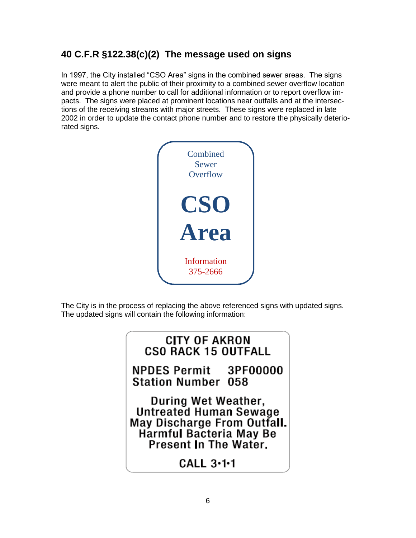# **40 C.F.R §122.38(c)(2) The message used on signs**

In 1997, the City installed "CSO Area" signs in the combined sewer areas. The signs were meant to alert the public of their proximity to a combined sewer overflow location and provide a phone number to call for additional information or to report overflow impacts. The signs were placed at prominent locations near outfalls and at the intersections of the receiving streams with major streets. These signs were replaced in late 2002 in order to update the contact phone number and to restore the physically deteriorated signs.



The City is in the process of replacing the above referenced signs with updated signs. The updated signs will contain the following information:

# **CITY OF AKRON CSO RACK 15 OUTFALL**

**NPDES Permit** 3PF00000 **Station Number 058** 

During Wet Weather, Untreated Human Sewage May Discharge From Outfall. Harmful Bacteria May Be Present In The Water.

CALL  $3-1-1$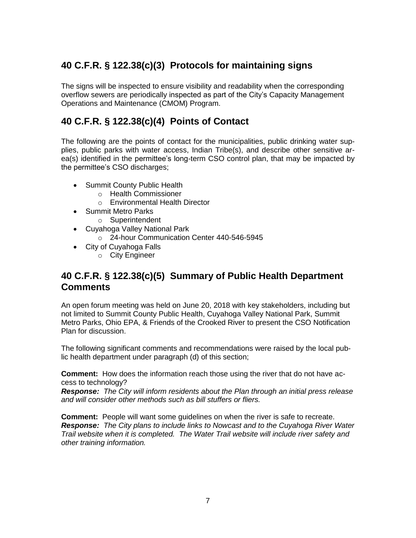# **40 C.F.R. § 122.38(c)(3) Protocols for maintaining signs**

The signs will be inspected to ensure visibility and readability when the corresponding overflow sewers are periodically inspected as part of the City's Capacity Management Operations and Maintenance (CMOM) Program.

# **40 C.F.R. § 122.38(c)(4) Points of Contact**

The following are the points of contact for the municipalities, public drinking water supplies, public parks with water access, Indian Tribe(s), and describe other sensitive area(s) identified in the permittee's long-term CSO control plan, that may be impacted by the permittee's CSO discharges;

- Summit County Public Health
	- o Health Commissioner
	- o Environmental Health Director
- Summit Metro Parks
	- o Superintendent
- Cuyahoga Valley National Park
	- o 24-hour Communication Center 440-546-5945
- City of Cuyahoga Falls
	- o City Engineer

## **40 C.F.R. § 122.38(c)(5) Summary of Public Health Department Comments**

An open forum meeting was held on June 20, 2018 with key stakeholders, including but not limited to Summit County Public Health, Cuyahoga Valley National Park, Summit Metro Parks, Ohio EPA, & Friends of the Crooked River to present the CSO Notification Plan for discussion.

The following significant comments and recommendations were raised by the local public health department under paragraph (d) of this section;

**Comment:** How does the information reach those using the river that do not have access to technology?

*Response: The City will inform residents about the Plan through an initial press release and will consider other methods such as bill stuffers or fliers.*

**Comment:** People will want some guidelines on when the river is safe to recreate. *Response: The City plans to include links to Nowcast and to the Cuyahoga River Water Trail website when it is completed. The Water Trail website will include river safety and other training information.*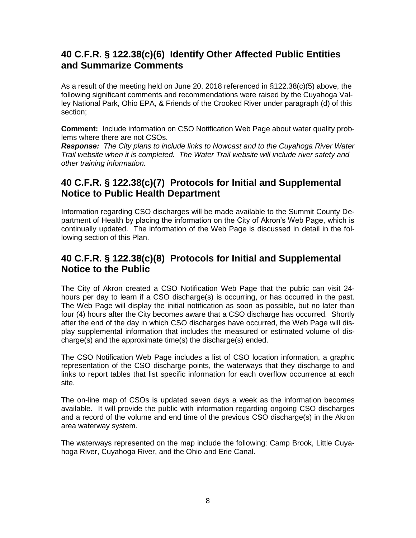## **40 C.F.R. § 122.38(c)(6) Identify Other Affected Public Entities and Summarize Comments**

As a result of the meeting held on June 20, 2018 referenced in §122.38(c)(5) above, the following significant comments and recommendations were raised by the Cuyahoga Valley National Park, Ohio EPA, & Friends of the Crooked River under paragraph (d) of this section;

**Comment:** Include information on CSO Notification Web Page about water quality problems where there are not CSOs.

*Response: The City plans to include links to Nowcast and to the Cuyahoga River Water Trail website when it is completed. The Water Trail website will include river safety and other training information.*

## **40 C.F.R. § 122.38(c)(7) Protocols for Initial and Supplemental Notice to Public Health Department**

Information regarding CSO discharges will be made available to the Summit County Department of Health by placing the information on the City of Akron's Web Page, which is continually updated. The information of the Web Page is discussed in detail in the following section of this Plan.

## **40 C.F.R. § 122.38(c)(8) Protocols for Initial and Supplemental Notice to the Public**

The City of Akron created a CSO Notification Web Page that the public can visit 24 hours per day to learn if a CSO discharge(s) is occurring, or has occurred in the past. The Web Page will display the initial notification as soon as possible, but no later than four (4) hours after the City becomes aware that a CSO discharge has occurred. Shortly after the end of the day in which CSO discharges have occurred, the Web Page will display supplemental information that includes the measured or estimated volume of discharge(s) and the approximate time(s) the discharge(s) ended.

The CSO Notification Web Page includes a list of CSO location information, a graphic representation of the CSO discharge points, the waterways that they discharge to and links to report tables that list specific information for each overflow occurrence at each site.

The on-line map of CSOs is updated seven days a week as the information becomes available. It will provide the public with information regarding ongoing CSO discharges and a record of the volume and end time of the previous CSO discharge(s) in the Akron area waterway system.

The waterways represented on the map include the following: Camp Brook, Little Cuyahoga River, Cuyahoga River, and the Ohio and Erie Canal.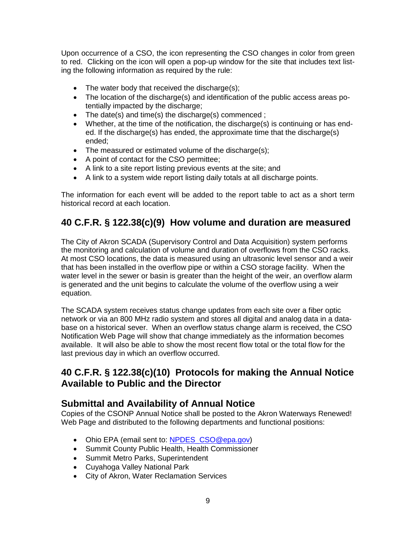Upon occurrence of a CSO, the icon representing the CSO changes in color from green to red. Clicking on the icon will open a pop-up window for the site that includes text listing the following information as required by the rule:

- $\bullet$  The water body that received the discharge(s);
- The location of the discharge(s) and identification of the public access areas potentially impacted by the discharge;
- The date(s) and time(s) the discharge(s) commenced;
- Whether, at the time of the notification, the discharge(s) is continuing or has ended. If the discharge(s) has ended, the approximate time that the discharge(s) ended;
- The measured or estimated volume of the discharge(s);
- A point of contact for the CSO permittee;
- A link to a site report listing previous events at the site; and
- A link to a system wide report listing daily totals at all discharge points.

The information for each event will be added to the report table to act as a short term historical record at each location.

## **40 C.F.R. § 122.38(c)(9) How volume and duration are measured**

The City of Akron SCADA (Supervisory Control and Data Acquisition) system performs the monitoring and calculation of volume and duration of overflows from the CSO racks. At most CSO locations, the data is measured using an ultrasonic level sensor and a weir that has been installed in the overflow pipe or within a CSO storage facility. When the water level in the sewer or basin is greater than the height of the weir, an overflow alarm is generated and the unit begins to calculate the volume of the overflow using a weir equation.

The SCADA system receives status change updates from each site over a fiber optic network or via an 800 MHz radio system and stores all digital and analog data in a database on a historical sever. When an overflow status change alarm is received, the CSO Notification Web Page will show that change immediately as the information becomes available. It will also be able to show the most recent flow total or the total flow for the last previous day in which an overflow occurred.

#### **40 C.F.R. § 122.38(c)(10) Protocols for making the Annual Notice Available to Public and the Director**

#### **Submittal and Availability of Annual Notice**

Copies of the CSONP Annual Notice shall be posted to the Akron Waterways Renewed! Web Page and distributed to the following departments and functional positions:

- Ohio EPA (email sent to: NPDES CSO@epa.gov)
- Summit County Public Health, Health Commissioner
- Summit Metro Parks, Superintendent
- Cuyahoga Valley National Park
- City of Akron, Water Reclamation Services